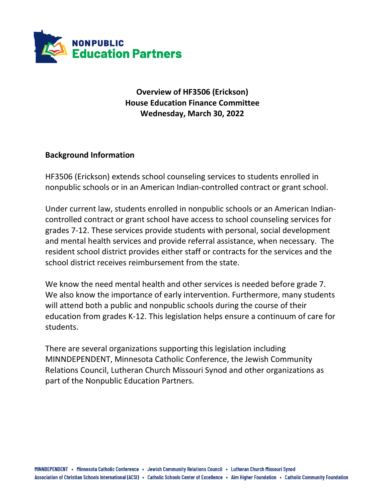

**Overview of HF3506 (Erickson) House Education Finance Committee Wednesday, March 30, 2022**

## **Background Information**

HF3506 (Erickson) extends school counseling services to students enrolled in nonpublic schools or in an American Indian-controlled contract or grant school.

Under current law, students enrolled in nonpublic schools or an American Indiancontrolled contract or grant school have access to school counseling services for grades 7-12. These services provide students with personal, social development and mental health services and provide referral assistance, when necessary. The resident school district provides either staff or contracts for the services and the school district receives reimbursement from the state.

We know the need mental health and other services is needed before grade 7. We also know the importance of early intervention. Furthermore, many students will attend both a public and nonpublic schools during the course of their education from grades K-12. This legislation helps ensure a continuum of care for students.

There are several organizations supporting this legislation including MINNDEPENDENT, Minnesota Catholic Conference, the Jewish Community Relations Council, Lutheran Church Missouri Synod and other organizations as part of the Nonpublic Education Partners.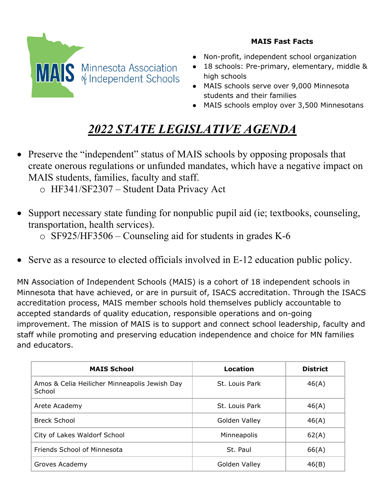

**MAIS Fast Facts**

- Non-profit, independent school organization
- 18 schools: Pre-primary, elementary, middle & high schools
- MAIS schools serve over 9,000 Minnesota students and their families
- MAIS schools employ over 3,500 Minnesotans

## *2022 STATE LEGISLATIVE AGENDA*

• Preserve the "independent" status of MAIS schools by opposing proposals that create onerous regulations or unfunded mandates, which have a negative impact on MAIS students, families, faculty and staff.

• Support necessary state funding for nonpublic pupil aid (ie; textbooks, counseling, transportation, health services).

o SF925/HF3506 – Counseling aid for students in grades K-6

Serve as a resource to elected officials involved in E-12 education public policy.

MN Association of Independent Schools (MAIS) is a cohort of 18 independent schools in Minnesota that have achieved, or are in pursuit of, ISACS accreditation. Through the ISACS accreditation process, MAIS member schools hold themselves publicly accountable to accepted standards of quality education, responsible operations and on-going improvement. The mission of MAIS is to support and connect school leadership, faculty and staff while promoting and preserving education independence and choice for MN families and educators.

| <b>MAIS School</b>                                      | Location       | <b>District</b> |
|---------------------------------------------------------|----------------|-----------------|
| Amos & Celia Heilicher Minneapolis Jewish Day<br>School | St. Louis Park | 46(A)           |
| Arete Academy                                           | St. Louis Park | 46(A)           |
| <b>Breck School</b>                                     | Golden Valley  | 46(A)           |
| City of Lakes Waldorf School                            | Minneapolis    | 62(A)           |
| Friends School of Minnesota                             | St. Paul       | 66(A)           |
| Groves Academy                                          | Golden Valley  | 46(B)           |

o HF341/SF2307 – Student Data Privacy Act